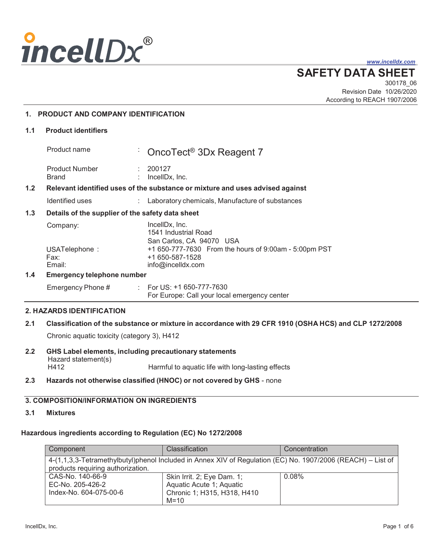

*www.incelldx.com*

**SAFETY DATA SHEET**

300178\_06 Revision Date 10/26/2020 According to REACH 1907/2006

### **1. PRODUCT AND COMPANY IDENTIFICATION**

#### **1.1 Product identifiers**

|     | Product name                                                                  |    | CncoTect <sup>®</sup> 3Dx Reagent 7                                                           |
|-----|-------------------------------------------------------------------------------|----|-----------------------------------------------------------------------------------------------|
|     | <b>Product Number</b><br>Brand                                                |    | 200127<br>IncellDx, Inc.                                                                      |
| 1.2 | Relevant identified uses of the substance or mixture and uses advised against |    |                                                                                               |
|     | Identified uses                                                               | t. | Laboratory chemicals, Manufacture of substances                                               |
| 1.3 | Details of the supplier of the safety data sheet                              |    |                                                                                               |
|     | Company:                                                                      |    | IncellDx. Inc.<br>1541 Industrial Road<br>San Carlos, CA 94070 USA                            |
|     | USATelephone:<br>Fax:<br>Email:                                               |    | +1 650-777-7630 From the hours of 9:00am - 5:00pm PST<br>+1 650-587-1528<br>info@incelldx.com |
| 1.4 | <b>Emergency telephone number</b>                                             |    |                                                                                               |
|     |                                                                               |    |                                                                                               |

## Emergency Phone # : For US: +1 650-777-7630 For Europe: Call your local emergency center

#### **2. HAZARDS IDENTIFICATION**

# **2.1 Classification of the substance or mixture in accordance with 29 CFR 1910 (OSHA HCS) and CLP 1272/2008**

Chronic aquatic toxicity (category 3), H412

- **2.2 GHS Label elements, including precautionary statements** Hazard statement(s)<br>H412 Harmful to aquatic life with long-lasting effects
- **2.3 Hazards not otherwise classified (HNOC) or not covered by GHS**  none

# **3. COMPOSITION/INFORMATION ON INGREDIENTS**

# **3.1 Mixtures**

# **Hazardous ingredients according to Regulation (EC) No 1272/2008**

| Component                                                                                                                                        | <b>Classification</b>                                                                           | Concentration |  |  |
|--------------------------------------------------------------------------------------------------------------------------------------------------|-------------------------------------------------------------------------------------------------|---------------|--|--|
| 4-(1,1,3,3-Tetramethylbutyl)phenol Included in Annex XIV of Regulation (EC) No. 1907/2006 (REACH) – List of<br>products requiring authorization. |                                                                                                 |               |  |  |
| CAS-No. 140-66-9<br>EC-No. 205-426-2<br>Index-No. 604-075-00-6                                                                                   | Skin Irrit. 2; Eye Dam. 1;<br>Aquatic Acute 1; Aquatic<br>Chronic 1; H315, H318, H410<br>$M=10$ | 0.08%         |  |  |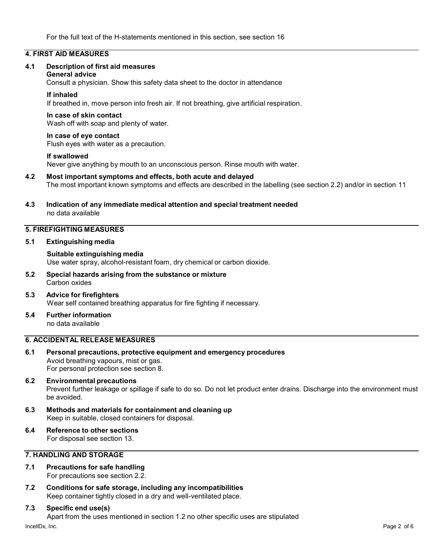#### **4. FIRST AID MEASURES**

#### **4.1 Description of first aid measures**

#### **General advice**

Consult a physician. Show this safety data sheet to the doctor in attendance

#### **If inhaled**

If breathed in, move person into fresh air. If not breathing, give artificial respiration.

#### **In case of skin contact**

Wash off with soap and plenty of water.

#### **In case of eye contact**

Flush eyes with water as a precaution.

#### **If swallowed**

Never give anything by mouth to an unconscious person. Rinse mouth with water.

#### **4.2 Most important symptoms and effects, both acute and delayed** The most important known symptoms and effects are described in the labelling (see section 2.2) and/or in section 11

#### **4.3 Indication of any immediate medical attention and special treatment needed** no data available

#### **5. FIREFIGHTING MEASURES**

#### **5.1 Extinguishing media**

**Suitable extinguishing media** Use water spray, alcohol-resistant foam, dry chemical or carbon dioxide.

#### **5.2 Special hazards arising from the substance or mixture**  Carbon oxides

#### **5.3 Advice for firefighters** Wear self contained breathing apparatus for fire fighting if necessary.

**5.4 Further information** no data available

# **6. ACCIDENTAL RELEASE MEASURES**

**6.1 Personal precautions, protective equipment and emergency procedures** Avoid breathing vapours, mist or gas. For personal protection see section 8.

#### **6.2 Environmental precautions** Prevent further leakage or spillage if safe to do so. Do not let product enter drains. Discharge into the environment must be avoided.

- **6.3 Methods and materials for containment and cleaning up** Keep in suitable, closed containers for disposal.
- **6.4 Reference to other sections** For disposal see section 13.

#### **7. HANDLING AND STORAGE**

#### **7.1 Precautions for safe handling**

For precautions see section 2.2.

**7.2 Conditions for safe storage, including any incompatibilities** Keep container tightly closed in a dry and well-ventilated place.

#### **7.3 Specific end use(s)**

Apart from the uses mentioned in section 1.2 no other specific uses are stipulated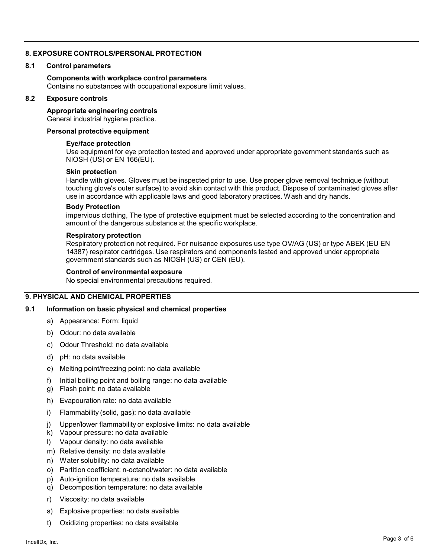#### **8. EXPOSURE CONTROLS/PERSONAL PROTECTION**

#### **8.1 Control parameters**

#### **Components with workplace control parameters** Contains no substances with occupational exposure limit values.

#### **8.2 Exposure controls**

**Appropriate engineering controls**

General industrial hygiene practice.

#### **Personal protective equipment**

#### **Eye/face protection**

Use equipment for eye protection tested and approved under appropriate government standards such as NIOSH (US) or EN 166(EU).

#### **Skin protection**

Handle with gloves. Gloves must be inspected prior to use. Use proper glove removal technique (without touching glove's outer surface) to avoid skin contact with this product. Dispose of contaminated gloves after use in accordance with applicable laws and good laboratory practices. Wash and dry hands.

#### **Body Protection**

impervious clothing, The type of protective equipment must be selected according to the concentration and amount of the dangerous substance at the specific workplace.

#### **Respiratory protection**

Respiratory protection not required. For nuisance exposures use type OV/AG (US) or type ABEK (EU EN 14387) respirator cartridges. Use respirators and components tested and approved under appropriate government standards such as NIOSH (US) or CEN (EU).

#### **Control of environmental exposure**

No special environmental precautions required.

#### **9. PHYSICAL AND CHEMICAL PROPERTIES**

#### **9.1 Information on basic physical and chemical properties**

- a) Appearance: Form: liquid
- b) Odour: no data available
- c) Odour Threshold: no data available
- d) pH: no data available
- e) Melting point/freezing point: no data available
- f) Initial boiling point and boiling range: no data available
- g) Flash point: no data available
- h) Evapouration rate: no data available
- i) Flammability (solid, gas): no data available
- j) Upper/lower flammability or explosive limits: no data available
- k) Vapour pressure: no data available
- l) Vapour density: no data available
- m) Relative density: no data available
- n) Water solubility: no data available
- o) Partition coefficient: n-octanol/water: no data available
- p) Auto-ignition temperature: no data available
- q) Decomposition temperature: no data available
- r) Viscosity: no data available
- s) Explosive properties: no data available
- t) Oxidizing properties: no data available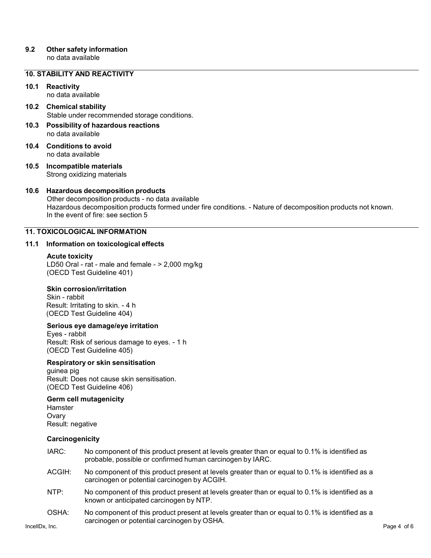#### **9.2 Other safety information**

no data available

#### **10. STABILITY AND REACTIVITY**

# **10.1 Reactivity**

no data available

#### **10.2 Chemical stability** Stable under recommended storage conditions.

- **10.3 Possibility of hazardous reactions** no data available
- **10.4 Conditions to avoid** no data available
- **10.5 Incompatible materials** Strong oxidizing materials

#### **10.6 Hazardous decomposition products**

Other decomposition products - no data available Hazardous decomposition products formed under fire conditions. - Nature of decomposition products not known. In the event of fire: see section 5

#### **11. TOXICOLOGICAL INFORMATION**

#### **11.1 Information on toxicological effects**

#### **Acute toxicity**

LD50 Oral - rat - male and female - > 2,000 mg/kg (OECD Test Guideline 401)

#### **Skin corrosion/irritation**

Skin - rabbit Result: Irritating to skin. - 4 h (OECD Test Guideline 404)

#### **Serious eye damage/eye irritation**

Eyes - rabbit Result: Risk of serious damage to eyes. - 1 h (OECD Test Guideline 405)

#### **Respiratory or skin sensitisation**

guinea pig Result: Does not cause skin sensitisation. (OECD Test Guideline 406)

#### **Germ cell mutagenicity**

Hamster **Ovary** Result: negative

#### **Carcinogenicity**

- IARC: No component of this product present at levels greater than or equal to 0.1% is identified as probable, possible or confirmed human carcinogen by IARC.
- ACGIH: No component of this product present at levels greater than or equal to 0.1% is identified as a carcinogen or potential carcinogen by ACGIH.
- NTP: No component of this product present at levels greater than or equal to 0.1% is identified as a known or anticipated carcinogen by NTP.
- OSHA: No component of this product present at levels greater than or equal to 0.1% is identified as a carcinogen or potential carcinogen by OSHA.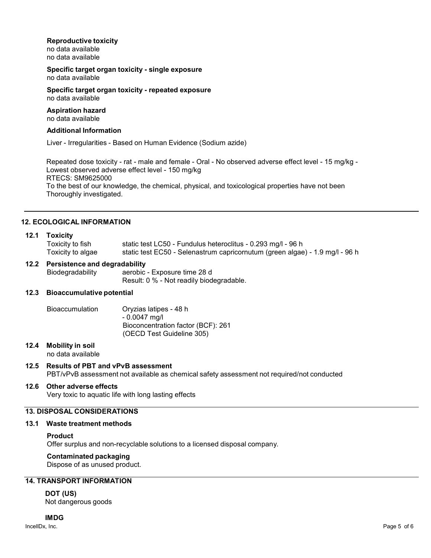#### **Reproductive toxicity**

no data available no data available

#### **Specific target organ toxicity - single exposure** no data available

#### **Specific target organ toxicity - repeated exposure** no data available

#### **Aspiration hazard** no data available

#### **Additional Information**

Liver - Irregularities - Based on Human Evidence (Sodium azide)

Repeated dose toxicity - rat - male and female - Oral - No observed adverse effect level - 15 mg/kg - Lowest observed adverse effect level - 150 mg/kg RTECS: SM9625000 To the best of our knowledge, the chemical, physical, and toxicological properties have not been Thoroughly investigated.

#### **12. ECOLOGICAL INFORMATION**

#### **12.1 Toxicity**

| Toxicity to fish  | static test LC50 - Fundulus heteroclitus - 0.293 mg/l - 96 h                 |
|-------------------|------------------------------------------------------------------------------|
| Toxicity to algae | static test EC50 - Selenastrum capricornutum (green algae) - 1.9 mg/l - 96 h |

# **12.2 Persistence and degradability**

aerobic - Exposure time 28 d Result: 0 % - Not readily biodegradable.

#### **12.3 Bioaccumulative potential**

| <b>Bioaccumulation</b> | Oryzias latipes - 48 h             |
|------------------------|------------------------------------|
|                        | $-0.0047$ ma/l                     |
|                        | Bioconcentration factor (BCF): 261 |
|                        | (OECD Test Guideline 305)          |

#### **12.4 Mobility in soil**

no data available

#### **12.5 Results of PBT and vPvB assessment**

PBT/vPvB assessment not available as chemical safety assessment not required/not conducted

#### **12.6 Other adverse effects**

Very toxic to aquatic life with long lasting effects

### **13. DISPOSAL CONSIDERATIONS**

#### **13.1 Waste treatment methods**

#### **Product**

Offer surplus and non-recyclable solutions to a licensed disposal company.

# **Contaminated packaging**

Dispose of as unused product.

# **14. TRANSPORT INFORMATION**

**DOT (US)** Not dangerous goods

#### **IMDG**